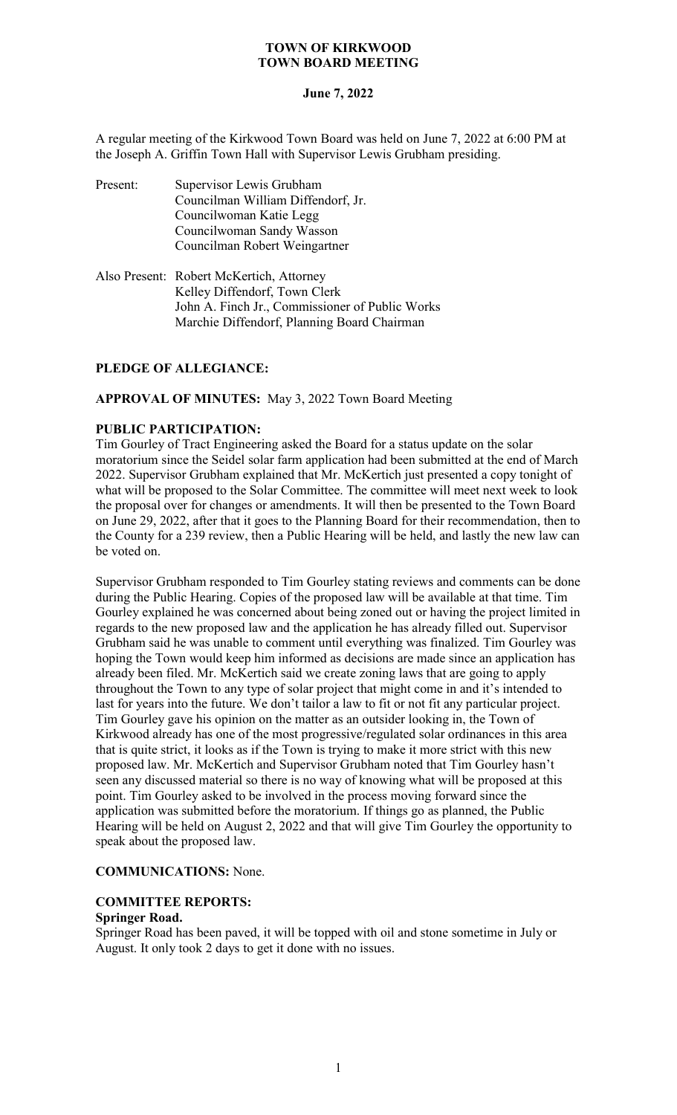# **June 7, 2022**

A regular meeting of the Kirkwood Town Board was held on June 7, 2022 at 6:00 PM at the Joseph A. Griffin Town Hall with Supervisor Lewis Grubham presiding.

- Present: Supervisor Lewis Grubham Councilman William Diffendorf, Jr. Councilwoman Katie Legg Councilwoman Sandy Wasson Councilman Robert Weingartner
- Also Present: Robert McKertich, Attorney Kelley Diffendorf, Town Clerk John A. Finch Jr., Commissioner of Public Works Marchie Diffendorf, Planning Board Chairman

# **PLEDGE OF ALLEGIANCE:**

# **APPROVAL OF MINUTES:** May 3, 2022 Town Board Meeting

# **PUBLIC PARTICIPATION:**

Tim Gourley of Tract Engineering asked the Board for a status update on the solar moratorium since the Seidel solar farm application had been submitted at the end of March 2022. Supervisor Grubham explained that Mr. McKertich just presented a copy tonight of what will be proposed to the Solar Committee. The committee will meet next week to look the proposal over for changes or amendments. It will then be presented to the Town Board on June 29, 2022, after that it goes to the Planning Board for their recommendation, then to the County for a 239 review, then a Public Hearing will be held, and lastly the new law can be voted on.

Supervisor Grubham responded to Tim Gourley stating reviews and comments can be done during the Public Hearing. Copies of the proposed law will be available at that time. Tim Gourley explained he was concerned about being zoned out or having the project limited in regards to the new proposed law and the application he has already filled out. Supervisor Grubham said he was unable to comment until everything was finalized. Tim Gourley was hoping the Town would keep him informed as decisions are made since an application has already been filed. Mr. McKertich said we create zoning laws that are going to apply throughout the Town to any type of solar project that might come in and it's intended to last for years into the future. We don't tailor a law to fit or not fit any particular project. Tim Gourley gave his opinion on the matter as an outsider looking in, the Town of Kirkwood already has one of the most progressive/regulated solar ordinances in this area that is quite strict, it looks as if the Town is trying to make it more strict with this new proposed law. Mr. McKertich and Supervisor Grubham noted that Tim Gourley hasn't seen any discussed material so there is no way of knowing what will be proposed at this point. Tim Gourley asked to be involved in the process moving forward since the application was submitted before the moratorium. If things go as planned, the Public Hearing will be held on August 2, 2022 and that will give Tim Gourley the opportunity to speak about the proposed law.

# **COMMUNICATIONS:** None.

## **COMMITTEE REPORTS: Springer Road.**

Springer Road has been paved, it will be topped with oil and stone sometime in July or August. It only took 2 days to get it done with no issues.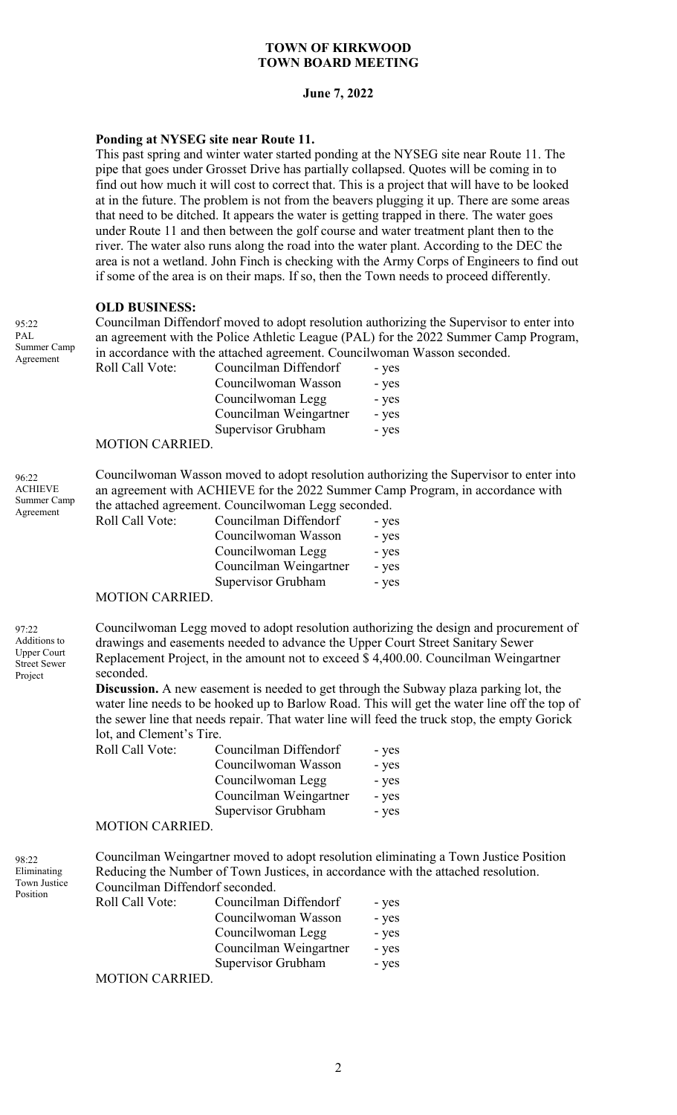#### **June 7, 2022**

## **Ponding at NYSEG site near Route 11.**

This past spring and winter water started ponding at the NYSEG site near Route 11. The pipe that goes under Grosset Drive has partially collapsed. Quotes will be coming in to find out how much it will cost to correct that. This is a project that will have to be looked at in the future. The problem is not from the beavers plugging it up. There are some areas that need to be ditched. It appears the water is getting trapped in there. The water goes under Route 11 and then between the golf course and water treatment plant then to the river. The water also runs along the road into the water plant. According to the DEC the area is not a wetland. John Finch is checking with the Army Corps of Engineers to find out if some of the area is on their maps. If so, then the Town needs to proceed differently.

#### **OLD BUSINESS:**

Councilman Diffendorf moved to adopt resolution authorizing the Supervisor to enter into an agreement with the Police Athletic League (PAL) for the 2022 Summer Camp Program, in accordance with the attached agreement. Councilwoman Wasson seconded.

| Roll Call Vote: | Councilman Diffendorf  | - yes |
|-----------------|------------------------|-------|
|                 | Councilwoman Wasson    | - yes |
|                 | Councilwoman Legg      | - yes |
|                 | Councilman Weingartner | - yes |
|                 | Supervisor Grubham     | - yes |
|                 |                        |       |

#### MOTION CARRIED.

96:22 ACHIEVE Summer Camp Agreement

95:22 PAL.

Summer Camp Agreement

| Councilwoman Wasson moved to adopt resolution authorizing the Supervisor to enter into |  |  |  |  |
|----------------------------------------------------------------------------------------|--|--|--|--|
| an agreement with ACHIEVE for the 2022 Summer Camp Program, in accordance with         |  |  |  |  |
| the attached agreement. Council woman Legg seconded.                                   |  |  |  |  |
| $R_0$ ll $C_2$ ll Vote: $C_0$ uncilman Diffendorf - ves                                |  |  |  |  |

| Roll Call Vote: | Councilman Diffendorf  | - yes |
|-----------------|------------------------|-------|
|                 | Councilwoman Wasson    | - yes |
|                 | Councilwoman Legg      | - yes |
|                 | Councilman Weingartner | - yes |
|                 | Supervisor Grubham     | - yes |
|                 |                        |       |

#### MOTION CARRIED.

97:22 Additions to Upper Court Street Sewer Project

Councilwoman Legg moved to adopt resolution authorizing the design and procurement of drawings and easements needed to advance the Upper Court Street Sanitary Sewer Replacement Project, in the amount not to exceed \$ 4,400.00. Councilman Weingartner seconded.

**Discussion.** A new easement is needed to get through the Subway plaza parking lot, the water line needs to be hooked up to Barlow Road. This will get the water line off the top of the sewer line that needs repair. That water line will feed the truck stop, the empty Gorick lot, and Clement's Tire.

| Roll Call Vote: | Councilman Diffendorf  | - yes |
|-----------------|------------------------|-------|
|                 | Councilwoman Wasson    | - yes |
|                 | Councilwoman Legg      | - yes |
|                 | Councilman Weingartner | - yes |
|                 | Supervisor Grubham     | - yes |
|                 |                        |       |

#### MOTION CARRIED.

98:22 Eliminating Town Justice Position

Councilman Weingartner moved to adopt resolution eliminating a Town Justice Position Reducing the Number of Town Justices, in accordance with the attached resolution. Councilman Diffendorf seconded.

| Roll Call Vote: | Councilman Diffendorf  | - yes |
|-----------------|------------------------|-------|
|                 | Councilwoman Wasson    | - yes |
|                 | Councilwoman Legg      | - yes |
|                 | Councilman Weingartner | - yes |
|                 | Supervisor Grubham     | - yes |
|                 |                        |       |

#### MOTION CARRIED.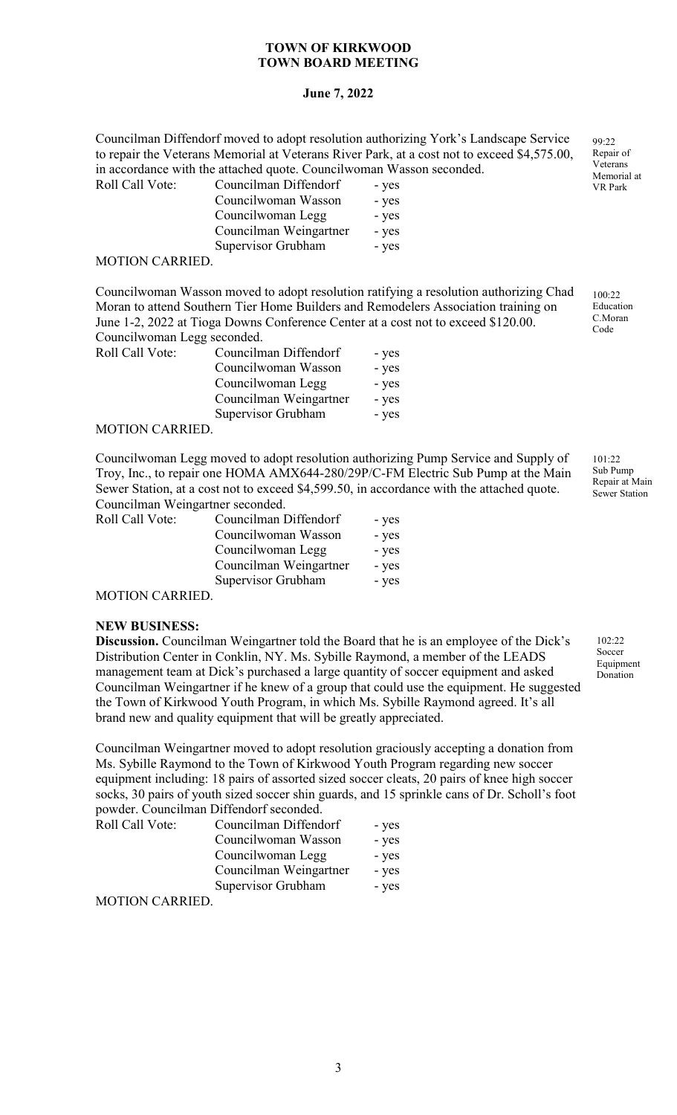# **June 7, 2022**

Councilman Diffendorf moved to adopt resolution authorizing York's Landscape Service to repair the Veterans Memorial at Veterans River Park, at a cost not to exceed \$4,575.00, in accordance with the attached quote. Councilwoman Wasson seconded.<br>Roll Call Vote: Councilman Diffendorf Roll Call Vote<sup>-</sup>

| Call Vote:                           | Councuman Diffendorf   | - yes |
|--------------------------------------|------------------------|-------|
|                                      | Councilwoman Wasson    | - yes |
|                                      | Councilwoman Legg      | - yes |
|                                      | Councilman Weingartner | - yes |
|                                      | Supervisor Grubham     | - yes |
| $\Gamma$ I $\cap$ ni $\cap$ a ddie D |                        |       |

#### MOTION CARRIED.

Councilwoman Wasson moved to adopt resolution ratifying a resolution authorizing Chad Moran to attend Southern Tier Home Builders and Remodelers Association training on June 1-2, 2022 at Tioga Downs Conference Center at a cost not to exceed \$120.00. Councilwoman Legg seconded.

| Roll Call Vote:                      | Councilman Diffendorf  | - yes |
|--------------------------------------|------------------------|-------|
|                                      | Councilwoman Wasson    | - yes |
|                                      | Councilwoman Legg      | - yes |
|                                      | Councilman Weingartner | - yes |
|                                      | Supervisor Grubham     | - yes |
| $\lambda$ (otion of $\lambda$ prince |                        |       |

# MOTION CARRIED.

Councilwoman Legg moved to adopt resolution authorizing Pump Service and Supply of Troy, Inc., to repair one HOMA AMX644-280/29P/C-FM Electric Sub Pump at the Main Sewer Station, at a cost not to exceed \$4,599.50, in accordance with the attached quote. Councilman Weingartner seconded.

| Roll Call Vote: | Councilman Diffendorf  | - yes |
|-----------------|------------------------|-------|
|                 | Councilwoman Wasson    | - yes |
|                 | Councilwoman Legg      | - yes |
|                 | Councilman Weingartner | - yes |
|                 | Supervisor Grubham     | - yes |

MOTION CARRIED.

#### **NEW BUSINESS:**

**Discussion.** Councilman Weingartner told the Board that he is an employee of the Dick's Distribution Center in Conklin, NY. Ms. Sybille Raymond, a member of the LEADS management team at Dick's purchased a large quantity of soccer equipment and asked Councilman Weingartner if he knew of a group that could use the equipment. He suggested the Town of Kirkwood Youth Program, in which Ms. Sybille Raymond agreed. It's all brand new and quality equipment that will be greatly appreciated.

Councilman Weingartner moved to adopt resolution graciously accepting a donation from Ms. Sybille Raymond to the Town of Kirkwood Youth Program regarding new soccer equipment including: 18 pairs of assorted sized soccer cleats, 20 pairs of knee high soccer socks, 30 pairs of youth sized soccer shin guards, and 15 sprinkle cans of Dr. Scholl's foot powder. Councilman Diffendorf seconded.

| Roll Call Vote:                      | Councilman Diffendorf  | - yes |
|--------------------------------------|------------------------|-------|
|                                      | Councilwoman Wasson    | - yes |
|                                      | Councilwoman Legg      | - yes |
|                                      | Councilman Weingartner | - yes |
|                                      | Supervisor Grubham     | - yes |
| $\lambda$ (otion of $\lambda$ prince |                        |       |

MOTION CARRIED.

99:22 Repair of Veterans Memorial at VR Park

100:22 Education C.Moran Code

 $101.22$ Sub Pump Repair at Main Sewer Station

102:22 Soccer Equipment Donation